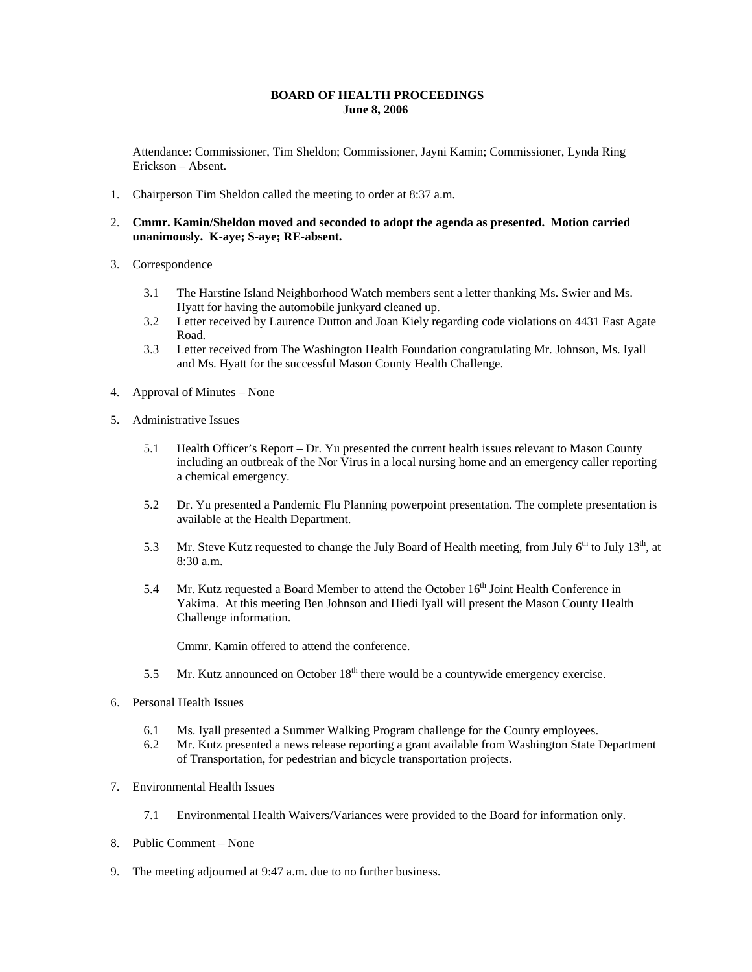## **BOARD OF HEALTH PROCEEDINGS June 8, 2006**

Attendance: Commissioner, Tim Sheldon; Commissioner, Jayni Kamin; Commissioner, Lynda Ring Erickson – Absent.

- 1. Chairperson Tim Sheldon called the meeting to order at 8:37 a.m.
- 2. **Cmmr. Kamin/Sheldon moved and seconded to adopt the agenda as presented. Motion carried unanimously. K-aye; S-aye; RE-absent.**
- 3. Correspondence
	- 3.1 The Harstine Island Neighborhood Watch members sent a letter thanking Ms. Swier and Ms. Hyatt for having the automobile junkyard cleaned up.
	- 3.2 Letter received by Laurence Dutton and Joan Kiely regarding code violations on 4431 East Agate Road.
	- 3.3 Letter received from The Washington Health Foundation congratulating Mr. Johnson, Ms. Iyall and Ms. Hyatt for the successful Mason County Health Challenge.
- 4. Approval of Minutes None
- 5. Administrative Issues
	- 5.1 Health Officer's Report Dr. Yu presented the current health issues relevant to Mason County including an outbreak of the Nor Virus in a local nursing home and an emergency caller reporting a chemical emergency.
	- 5.2 Dr. Yu presented a Pandemic Flu Planning powerpoint presentation. The complete presentation is available at the Health Department.
	- 5.3 Mr. Steve Kutz requested to change the July Board of Health meeting, from July  $6^{th}$  to July 13<sup>th</sup>, at 8:30 a.m.
	- 5.4 Mr. Kutz requested a Board Member to attend the October  $16<sup>th</sup>$  Joint Health Conference in Yakima. At this meeting Ben Johnson and Hiedi Iyall will present the Mason County Health Challenge information.

Cmmr. Kamin offered to attend the conference.

- 5.5 Mr. Kutz announced on October  $18<sup>th</sup>$  there would be a countywide emergency exercise.
- 6. Personal Health Issues
	- 6.1 Ms. Iyall presented a Summer Walking Program challenge for the County employees.
	- 6.2 Mr. Kutz presented a news release reporting a grant available from Washington State Department of Transportation, for pedestrian and bicycle transportation projects.
- 7. Environmental Health Issues
	- 7.1 Environmental Health Waivers/Variances were provided to the Board for information only.
- 8. Public Comment None
- 9. The meeting adjourned at 9:47 a.m. due to no further business.